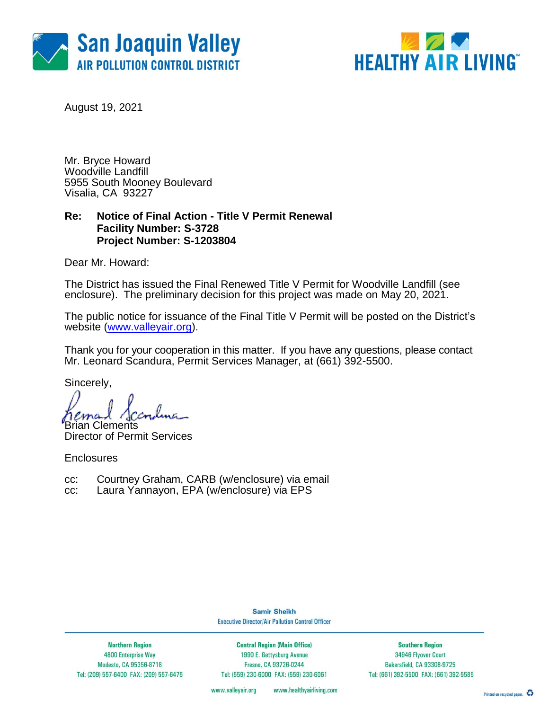



August 19, 2021

Mr. Bryce Howard Woodville Landfill 5955 South Mooney Boulevard Visalia, CA 93227

### **Re: Notice of Final Action - Title V Permit Renewal Facility Number: S-3728 Project Number: S-1203804**

Dear Mr. Howard:

The District has issued the Final Renewed Title V Permit for Woodville Landfill (see enclosure). The preliminary decision for this project was made on May 20, 2021.

The public notice for issuance of the Final Title V Permit will be posted on the District's website [\(www.valleyair.org\)](http://www.valleyair.org/).

Thank you for your cooperation in this matter. If you have any questions, please contact Mr. Leonard Scandura, Permit Services Manager, at (661) 392-5500.

Sincerely,

Brian Clements

Director of Permit Services

**Enclosures** 

- cc: Courtney Graham, CARB (w/enclosure) via email
- cc: Laura Yannayon, EPA (w/enclosure) via EPS

**Samir Sheikh Executive Director/Air Pollution Control Officer** 

**Northern Region** 4800 Enterprise Way Modesto, CA 95356-8718 Tel: (209) 557-6400 FAX: (209) 557-6475

**Central Region (Main Office)** 1990 E. Gettysburg Avenue Fresno, CA 93726-0244 Tel: (559) 230-6000 FAX: (559) 230-6061

**Southern Region** 34946 Flyover Court Bakersfield, CA 93308-9725 Tel: (661) 392-5500 FAX: (661) 392-5585

www.valleyair.org www.healthyairliving.com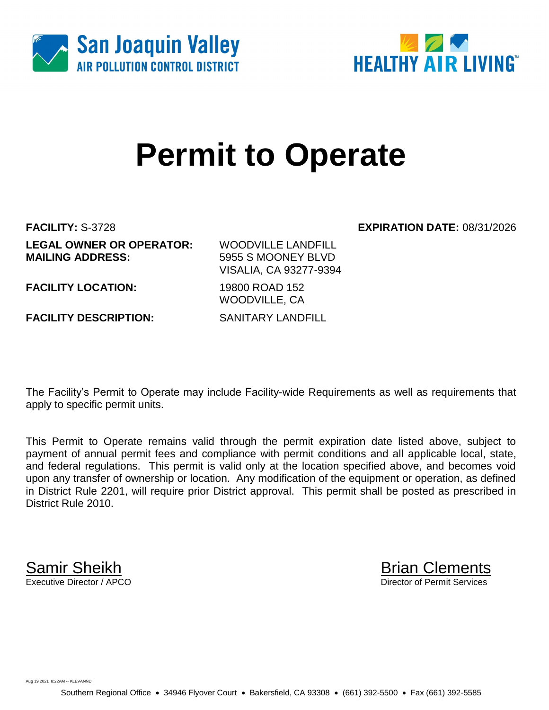



# **Permit to Operate**

**FACILITY:** S-3728 **EXPIRATION DATE:** 08/31/2026 **LEGAL OWNER OR OPERATOR:** WOODVILLE LANDFILL **MAILING ADDRESS:** 5955 S MOONEY BLVD

VISALIA, CA 93277-9394

**FACILITY LOCATION:** 19800 ROAD 152

**FACILITY DESCRIPTION:** SANITARY LANDFILL

WOODVILLE, CA

The Facility's Permit to Operate may include Facility-wide Requirements as well as requirements that apply to specific permit units.

This Permit to Operate remains valid through the permit expiration date listed above, subject to payment of annual permit fees and compliance with permit conditions and all applicable local, state, and federal regulations. This permit is valid only at the location specified above, and becomes void upon any transfer of ownership or location. Any modification of the equipment or operation, as defined in District Rule 2201, will require prior District approval. This permit shall be posted as prescribed in District Rule 2010.

**Samir Sheikh**<br>Executive Director / APCO

Director of Permit Services

Aug 19 2021 8:22AM -- KLEVANND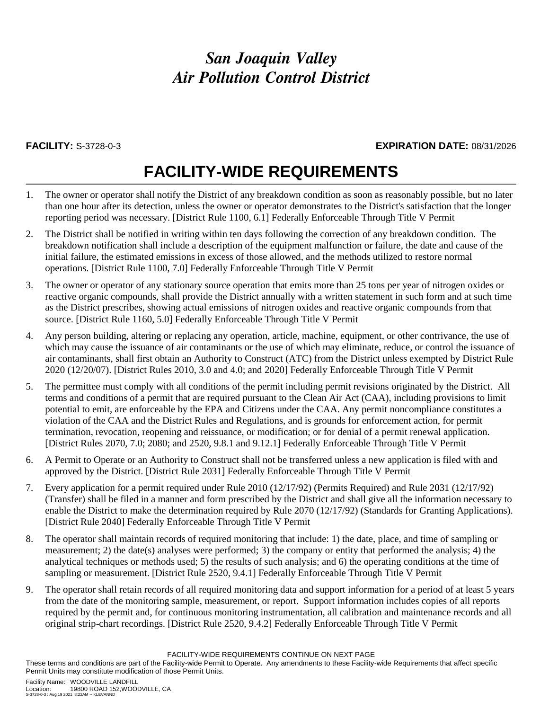# *San Joaquin Valley Air Pollution Control District*

#### **FACILITY:** S-3728-0-3 **EXPIRATION DATE:** 08/31/2026

# **FACILITY-WIDE REQUIREMENTS**

- 1. The owner or operator shall notify the District of any breakdown condition as soon as reasonably possible, but no later than one hour after its detection, unless the owner or operator demonstrates to the District's satisfaction that the longer reporting period was necessary. [District Rule 1100, 6.1] Federally Enforceable Through Title V Permit
- 2. The District shall be notified in writing within ten days following the correction of any breakdown condition. The breakdown notification shall include a description of the equipment malfunction or failure, the date and cause of the initial failure, the estimated emissions in excess of those allowed, and the methods utilized to restore normal operations. [District Rule 1100, 7.0] Federally Enforceable Through Title V Permit
- 3. The owner or operator of any stationary source operation that emits more than 25 tons per year of nitrogen oxides or reactive organic compounds, shall provide the District annually with a written statement in such form and at such time as the District prescribes, showing actual emissions of nitrogen oxides and reactive organic compounds from that source. [District Rule 1160, 5.0] Federally Enforceable Through Title V Permit
- 4. Any person building, altering or replacing any operation, article, machine, equipment, or other contrivance, the use of which may cause the issuance of air contaminants or the use of which may eliminate, reduce, or control the issuance of air contaminants, shall first obtain an Authority to Construct (ATC) from the District unless exempted by District Rule 2020 (12/20/07). [District Rules 2010, 3.0 and 4.0; and 2020] Federally Enforceable Through Title V Permit
- 5. The permittee must comply with all conditions of the permit including permit revisions originated by the District. All terms and conditions of a permit that are required pursuant to the Clean Air Act (CAA), including provisions to limit potential to emit, are enforceable by the EPA and Citizens under the CAA. Any permit noncompliance constitutes a violation of the CAA and the District Rules and Regulations, and is grounds for enforcement action, for permit termination, revocation, reopening and reissuance, or modification; or for denial of a permit renewal application. [District Rules 2070, 7.0; 2080; and 2520, 9.8.1 and 9.12.1] Federally Enforceable Through Title V Permit
- 6. A Permit to Operate or an Authority to Construct shall not be transferred unless a new application is filed with and approved by the District. [District Rule 2031] Federally Enforceable Through Title V Permit
- 7. Every application for a permit required under Rule 2010 (12/17/92) (Permits Required) and Rule 2031 (12/17/92) (Transfer) shall be filed in a manner and form prescribed by the District and shall give all the information necessary to enable the District to make the determination required by Rule 2070 (12/17/92) (Standards for Granting Applications). [District Rule 2040] Federally Enforceable Through Title V Permit
- 8. The operator shall maintain records of required monitoring that include: 1) the date, place, and time of sampling or measurement; 2) the date(s) analyses were performed; 3) the company or entity that performed the analysis; 4) the analytical techniques or methods used; 5) the results of such analysis; and 6) the operating conditions at the time of sampling or measurement. [District Rule 2520, 9.4.1] Federally Enforceable Through Title V Permit
- 9. The operator shall retain records of all required monitoring data and support information for a period of at least 5 years from the date of the monitoring sample, measurement, or report. Support information includes copies of all reports required by the permit and, for continuous monitoring instrumentation, all calibration and maintenance records and all original strip-chart recordings. [District Rule 2520, 9.4.2] Federally Enforceable Through Title V Permit

FACILITY-WIDE REQUIREMENTS CONTINUE ON NEXT PAGE

These terms and conditions are part of the Facility-wide Permit to Operate. Any amendments to these Facility-wide Requirements that affect specific Permit Units may constitute modification of those Permit Units.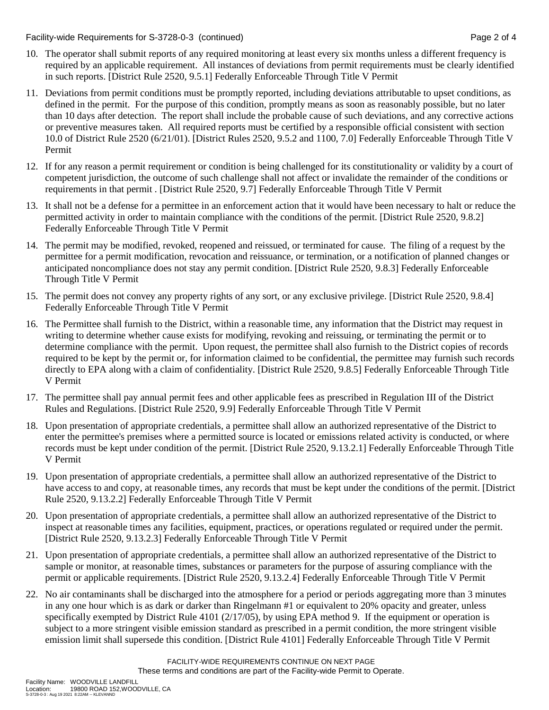Facility-wide Requirements for S-3728-0-3 (continued) Page 2 of 4

- 10. The operator shall submit reports of any required monitoring at least every six months unless a different frequency is required by an applicable requirement. All instances of deviations from permit requirements must be clearly identified in such reports. [District Rule 2520, 9.5.1] Federally Enforceable Through Title V Permit
- 11. Deviations from permit conditions must be promptly reported, including deviations attributable to upset conditions, as defined in the permit. For the purpose of this condition, promptly means as soon as reasonably possible, but no later than 10 days after detection. The report shall include the probable cause of such deviations, and any corrective actions or preventive measures taken. All required reports must be certified by a responsible official consistent with section 10.0 of District Rule 2520 (6/21/01). [District Rules 2520, 9.5.2 and 1100, 7.0] Federally Enforceable Through Title V Permit
- 12. If for any reason a permit requirement or condition is being challenged for its constitutionality or validity by a court of competent jurisdiction, the outcome of such challenge shall not affect or invalidate the remainder of the conditions or requirements in that permit . [District Rule 2520, 9.7] Federally Enforceable Through Title V Permit
- 13. It shall not be a defense for a permittee in an enforcement action that it would have been necessary to halt or reduce the permitted activity in order to maintain compliance with the conditions of the permit. [District Rule 2520, 9.8.2] Federally Enforceable Through Title V Permit
- 14. The permit may be modified, revoked, reopened and reissued, or terminated for cause. The filing of a request by the permittee for a permit modification, revocation and reissuance, or termination, or a notification of planned changes or anticipated noncompliance does not stay any permit condition. [District Rule 2520, 9.8.3] Federally Enforceable Through Title V Permit
- 15. The permit does not convey any property rights of any sort, or any exclusive privilege. [District Rule 2520, 9.8.4] Federally Enforceable Through Title V Permit
- 16. The Permittee shall furnish to the District, within a reasonable time, any information that the District may request in writing to determine whether cause exists for modifying, revoking and reissuing, or terminating the permit or to determine compliance with the permit. Upon request, the permittee shall also furnish to the District copies of records required to be kept by the permit or, for information claimed to be confidential, the permittee may furnish such records directly to EPA along with a claim of confidentiality. [District Rule 2520, 9.8.5] Federally Enforceable Through Title V Permit
- 17. The permittee shall pay annual permit fees and other applicable fees as prescribed in Regulation III of the District Rules and Regulations. [District Rule 2520, 9.9] Federally Enforceable Through Title V Permit
- 18. Upon presentation of appropriate credentials, a permittee shall allow an authorized representative of the District to enter the permittee's premises where a permitted source is located or emissions related activity is conducted, or where records must be kept under condition of the permit. [District Rule 2520, 9.13.2.1] Federally Enforceable Through Title V Permit
- 19. Upon presentation of appropriate credentials, a permittee shall allow an authorized representative of the District to have access to and copy, at reasonable times, any records that must be kept under the conditions of the permit. [District Rule 2520, 9.13.2.2] Federally Enforceable Through Title V Permit
- 20. Upon presentation of appropriate credentials, a permittee shall allow an authorized representative of the District to inspect at reasonable times any facilities, equipment, practices, or operations regulated or required under the permit. [District Rule 2520, 9.13.2.3] Federally Enforceable Through Title V Permit
- 21. Upon presentation of appropriate credentials, a permittee shall allow an authorized representative of the District to sample or monitor, at reasonable times, substances or parameters for the purpose of assuring compliance with the permit or applicable requirements. [District Rule 2520, 9.13.2.4] Federally Enforceable Through Title V Permit
- 22. No air contaminants shall be discharged into the atmosphere for a period or periods aggregating more than 3 minutes in any one hour which is as dark or darker than Ringelmann #1 or equivalent to 20% opacity and greater, unless specifically exempted by District Rule 4101 (2/17/05), by using EPA method 9. If the equipment or operation is subject to a more stringent visible emission standard as prescribed in a permit condition, the more stringent visible emission limit shall supersede this condition. [District Rule 4101] Federally Enforceable Through Title V Permit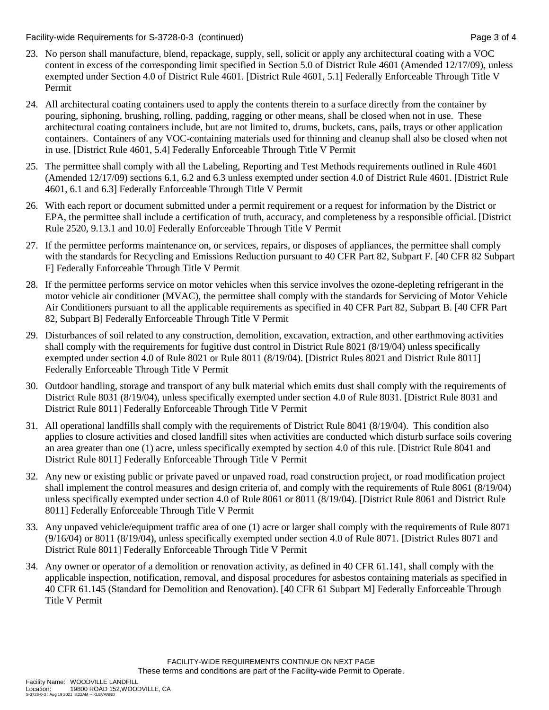Facility-wide Requirements for S-3728-0-3 (continued) Page 3 of 4

- 23. No person shall manufacture, blend, repackage, supply, sell, solicit or apply any architectural coating with a VOC content in excess of the corresponding limit specified in Section 5.0 of District Rule 4601 (Amended 12/17/09), unless exempted under Section 4.0 of District Rule 4601. [District Rule 4601, 5.1] Federally Enforceable Through Title V Permit
- 24. All architectural coating containers used to apply the contents therein to a surface directly from the container by pouring, siphoning, brushing, rolling, padding, ragging or other means, shall be closed when not in use. These architectural coating containers include, but are not limited to, drums, buckets, cans, pails, trays or other application containers. Containers of any VOC-containing materials used for thinning and cleanup shall also be closed when not in use. [District Rule 4601, 5.4] Federally Enforceable Through Title V Permit
- 25. The permittee shall comply with all the Labeling, Reporting and Test Methods requirements outlined in Rule 4601 (Amended 12/17/09) sections 6.1, 6.2 and 6.3 unless exempted under section 4.0 of District Rule 4601. [District Rule 4601, 6.1 and 6.3] Federally Enforceable Through Title V Permit
- 26. With each report or document submitted under a permit requirement or a request for information by the District or EPA, the permittee shall include a certification of truth, accuracy, and completeness by a responsible official. [District Rule 2520, 9.13.1 and 10.0] Federally Enforceable Through Title V Permit
- 27. If the permittee performs maintenance on, or services, repairs, or disposes of appliances, the permittee shall comply with the standards for Recycling and Emissions Reduction pursuant to 40 CFR Part 82, Subpart F. [40 CFR 82 Subpart F] Federally Enforceable Through Title V Permit
- 28. If the permittee performs service on motor vehicles when this service involves the ozone-depleting refrigerant in the motor vehicle air conditioner (MVAC), the permittee shall comply with the standards for Servicing of Motor Vehicle Air Conditioners pursuant to all the applicable requirements as specified in 40 CFR Part 82, Subpart B. [40 CFR Part 82, Subpart B] Federally Enforceable Through Title V Permit
- 29. Disturbances of soil related to any construction, demolition, excavation, extraction, and other earthmoving activities shall comply with the requirements for fugitive dust control in District Rule 8021 (8/19/04) unless specifically exempted under section 4.0 of Rule 8021 or Rule 8011 (8/19/04). [District Rules 8021 and District Rule 8011] Federally Enforceable Through Title V Permit
- 30. Outdoor handling, storage and transport of any bulk material which emits dust shall comply with the requirements of District Rule 8031 (8/19/04), unless specifically exempted under section 4.0 of Rule 8031. [District Rule 8031 and District Rule 8011] Federally Enforceable Through Title V Permit
- 31. All operational landfills shall comply with the requirements of District Rule 8041 (8/19/04). This condition also applies to closure activities and closed landfill sites when activities are conducted which disturb surface soils covering an area greater than one (1) acre, unless specifically exempted by section 4.0 of this rule. [District Rule 8041 and District Rule 8011] Federally Enforceable Through Title V Permit
- 32. Any new or existing public or private paved or unpaved road, road construction project, or road modification project shall implement the control measures and design criteria of, and comply with the requirements of Rule 8061 (8/19/04) unless specifically exempted under section 4.0 of Rule 8061 or 8011 (8/19/04). [District Rule 8061 and District Rule 8011] Federally Enforceable Through Title V Permit
- 33. Any unpaved vehicle/equipment traffic area of one (1) acre or larger shall comply with the requirements of Rule 8071 (9/16/04) or 8011 (8/19/04), unless specifically exempted under section 4.0 of Rule 8071. [District Rules 8071 and District Rule 8011] Federally Enforceable Through Title V Permit
- 34. Any owner or operator of a demolition or renovation activity, as defined in 40 CFR 61.141, shall comply with the applicable inspection, notification, removal, and disposal procedures for asbestos containing materials as specified in 40 CFR 61.145 (Standard for Demolition and Renovation). [40 CFR 61 Subpart M] Federally Enforceable Through Title V Permit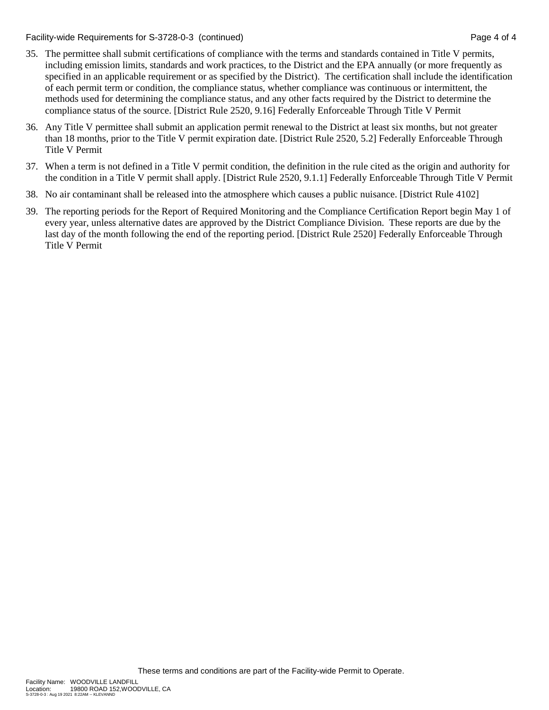Facility-wide Requirements for S-3728-0-3 (continued) Page 4 of 4

- 35. The permittee shall submit certifications of compliance with the terms and standards contained in Title V permits, including emission limits, standards and work practices, to the District and the EPA annually (or more frequently as specified in an applicable requirement or as specified by the District). The certification shall include the identification of each permit term or condition, the compliance status, whether compliance was continuous or intermittent, the methods used for determining the compliance status, and any other facts required by the District to determine the compliance status of the source. [District Rule 2520, 9.16] Federally Enforceable Through Title V Permit
- 36. Any Title V permittee shall submit an application permit renewal to the District at least six months, but not greater than 18 months, prior to the Title V permit expiration date. [District Rule 2520, 5.2] Federally Enforceable Through Title V Permit
- 37. When a term is not defined in a Title V permit condition, the definition in the rule cited as the origin and authority for the condition in a Title V permit shall apply. [District Rule 2520, 9.1.1] Federally Enforceable Through Title V Permit
- 38. No air contaminant shall be released into the atmosphere which causes a public nuisance. [District Rule 4102]
- 39. The reporting periods for the Report of Required Monitoring and the Compliance Certification Report begin May 1 of every year, unless alternative dates are approved by the District Compliance Division. These reports are due by the last day of the month following the end of the reporting period. [District Rule 2520] Federally Enforceable Through Title V Permit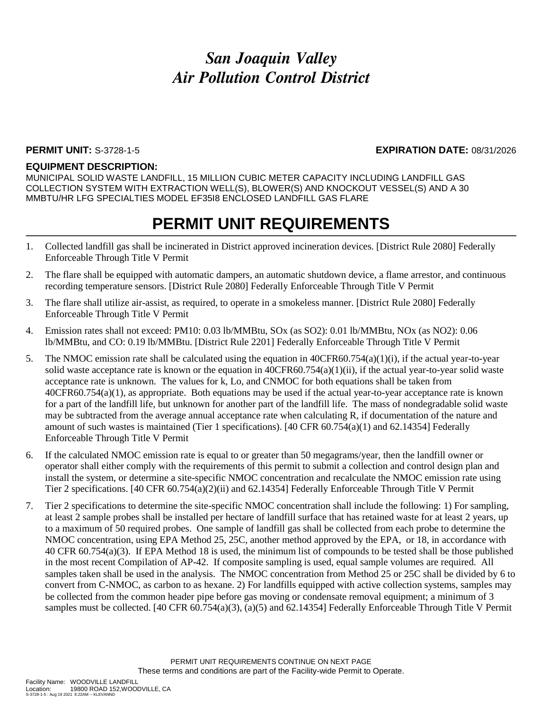# *San Joaquin Valley Air Pollution Control District*

#### **PERMIT UNIT:** S-3728-1-5 **EXPIRATION DATE:** 08/31/2026

#### **EQUIPMENT DESCRIPTION:**

MUNICIPAL SOLID WASTE LANDFILL, 15 MILLION CUBIC METER CAPACITY INCLUDING LANDFILL GAS COLLECTION SYSTEM WITH EXTRACTION WELL(S), BLOWER(S) AND KNOCKOUT VESSEL(S) AND A 30 MMBTU/HR LFG SPECIALTIES MODEL EF35I8 ENCLOSED LANDFILL GAS FLARE

## **PERMIT UNIT REQUIREMENTS**

- 1. Collected landfill gas shall be incinerated in District approved incineration devices. [District Rule 2080] Federally Enforceable Through Title V Permit
- 2. The flare shall be equipped with automatic dampers, an automatic shutdown device, a flame arrestor, and continuous recording temperature sensors. [District Rule 2080] Federally Enforceable Through Title V Permit
- 3. The flare shall utilize air-assist, as required, to operate in a smokeless manner. [District Rule 2080] Federally Enforceable Through Title V Permit
- 4. Emission rates shall not exceed: PM10: 0.03 lb/MMBtu, SOx (as SO2): 0.01 lb/MMBtu, NOx (as NO2): 0.06 lb/MMBtu, and CO: 0.19 lb/MMBtu. [District Rule 2201] Federally Enforceable Through Title V Permit
- 5. The NMOC emission rate shall be calculated using the equation in 40CFR60.754(a)(1)(i), if the actual year-to-year solid waste acceptance rate is known or the equation in 40CFR60.754(a)(1)(ii), if the actual year-to-year solid waste acceptance rate is unknown. The values for k, Lo, and CNMOC for both equations shall be taken from 40CFR60.754(a)(1), as appropriate. Both equations may be used if the actual year-to-year acceptance rate is known for a part of the landfill life, but unknown for another part of the landfill life. The mass of nondegradable solid waste may be subtracted from the average annual acceptance rate when calculating R, if documentation of the nature and amount of such wastes is maintained (Tier 1 specifications). [40 CFR 60.754(a)(1) and 62.14354] Federally Enforceable Through Title V Permit
- 6. If the calculated NMOC emission rate is equal to or greater than 50 megagrams/year, then the landfill owner or operator shall either comply with the requirements of this permit to submit a collection and control design plan and install the system, or determine a site-specific NMOC concentration and recalculate the NMOC emission rate using Tier 2 specifications. [40 CFR 60.754(a)(2)(ii) and 62.14354] Federally Enforceable Through Title V Permit
- 7. Tier 2 specifications to determine the site-specific NMOC concentration shall include the following: 1) For sampling, at least 2 sample probes shall be installed per hectare of landfill surface that has retained waste for at least 2 years, up to a maximum of 50 required probes. One sample of landfill gas shall be collected from each probe to determine the NMOC concentration, using EPA Method 25, 25C, another method approved by the EPA, or 18, in accordance with 40 CFR 60.754(a)(3). If EPA Method 18 is used, the minimum list of compounds to be tested shall be those published in the most recent Compilation of AP-42. If composite sampling is used, equal sample volumes are required. All samples taken shall be used in the analysis. The NMOC concentration from Method 25 or 25C shall be divided by 6 to convert from C-NMOC, as carbon to as hexane. 2) For landfills equipped with active collection systems, samples may be collected from the common header pipe before gas moving or condensate removal equipment; a minimum of 3 samples must be collected. [40 CFR 60.754(a)(3), (a)(5) and 62.14354] Federally Enforceable Through Title V Permit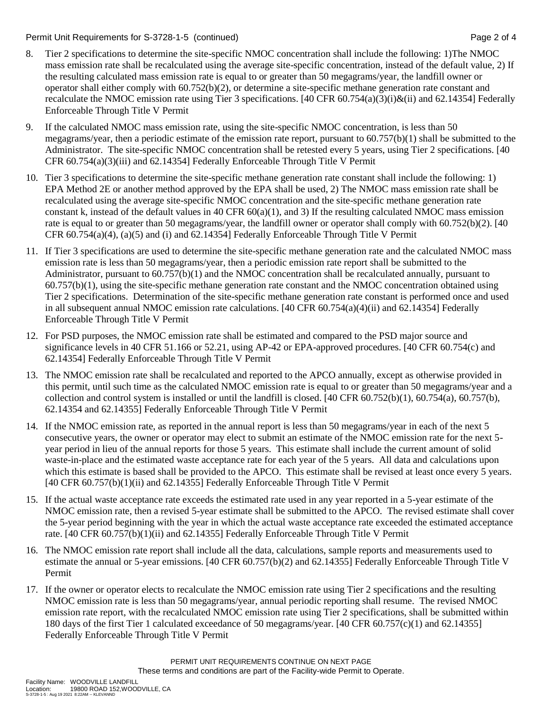Permit Unit Requirements for S-3728-1-5 (continued) Page 2 of 4

- 8. Tier 2 specifications to determine the site-specific NMOC concentration shall include the following: 1)The NMOC mass emission rate shall be recalculated using the average site-specific concentration, instead of the default value, 2) If the resulting calculated mass emission rate is equal to or greater than 50 megagrams/year, the landfill owner or operator shall either comply with 60.752(b)(2), or determine a site-specific methane generation rate constant and recalculate the NMOC emission rate using Tier 3 specifications. [40 CFR 60.754(a)(3)(i)&(ii) and 62.14354] Federally Enforceable Through Title V Permit
- 9. If the calculated NMOC mass emission rate, using the site-specific NMOC concentration, is less than 50 megagrams/year, then a periodic estimate of the emission rate report, pursuant to 60.757(b)(1) shall be submitted to the Administrator. The site-specific NMOC concentration shall be retested every 5 years, using Tier 2 specifications. [40 CFR 60.754(a)(3)(iii) and 62.14354] Federally Enforceable Through Title V Permit
- 10. Tier 3 specifications to determine the site-specific methane generation rate constant shall include the following: 1) EPA Method 2E or another method approved by the EPA shall be used, 2) The NMOC mass emission rate shall be recalculated using the average site-specific NMOC concentration and the site-specific methane generation rate constant k, instead of the default values in 40 CFR 60(a)(1), and 3) If the resulting calculated NMOC mass emission rate is equal to or greater than 50 megagrams/year, the landfill owner or operator shall comply with 60.752(b)(2). [40 CFR 60.754(a)(4), (a)(5) and (i) and 62.14354] Federally Enforceable Through Title V Permit
- 11. If Tier 3 specifications are used to determine the site-specific methane generation rate and the calculated NMOC mass emission rate is less than 50 megagrams/year, then a periodic emission rate report shall be submitted to the Administrator, pursuant to 60.757(b)(1) and the NMOC concentration shall be recalculated annually, pursuant to 60.757(b)(1), using the site-specific methane generation rate constant and the NMOC concentration obtained using Tier 2 specifications. Determination of the site-specific methane generation rate constant is performed once and used in all subsequent annual NMOC emission rate calculations. [40 CFR 60.754(a)(4)(ii) and 62.14354] Federally Enforceable Through Title V Permit
- 12. For PSD purposes, the NMOC emission rate shall be estimated and compared to the PSD major source and significance levels in 40 CFR 51.166 or 52.21, using AP-42 or EPA-approved procedures. [40 CFR 60.754(c) and 62.14354] Federally Enforceable Through Title V Permit
- 13. The NMOC emission rate shall be recalculated and reported to the APCO annually, except as otherwise provided in this permit, until such time as the calculated NMOC emission rate is equal to or greater than 50 megagrams/year and a collection and control system is installed or until the landfill is closed.  $[40 \text{ CFR } 60.752(b)(1), 60.754(a), 60.757(b),]$ 62.14354 and 62.14355] Federally Enforceable Through Title V Permit
- 14. If the NMOC emission rate, as reported in the annual report is less than 50 megagrams/year in each of the next 5 consecutive years, the owner or operator may elect to submit an estimate of the NMOC emission rate for the next 5 year period in lieu of the annual reports for those 5 years. This estimate shall include the current amount of solid waste-in-place and the estimated waste acceptance rate for each year of the 5 years. All data and calculations upon which this estimate is based shall be provided to the APCO. This estimate shall be revised at least once every 5 years. [40 CFR 60.757(b)(1)(ii) and 62.14355] Federally Enforceable Through Title V Permit
- 15. If the actual waste acceptance rate exceeds the estimated rate used in any year reported in a 5-year estimate of the NMOC emission rate, then a revised 5-year estimate shall be submitted to the APCO. The revised estimate shall cover the 5-year period beginning with the year in which the actual waste acceptance rate exceeded the estimated acceptance rate. [40 CFR 60.757(b)(1)(ii) and 62.14355] Federally Enforceable Through Title V Permit
- 16. The NMOC emission rate report shall include all the data, calculations, sample reports and measurements used to estimate the annual or 5-year emissions. [40 CFR 60.757(b)(2) and 62.14355] Federally Enforceable Through Title V Permit
- 17. If the owner or operator elects to recalculate the NMOC emission rate using Tier 2 specifications and the resulting NMOC emission rate is less than 50 megagrams/year, annual periodic reporting shall resume. The revised NMOC emission rate report, with the recalculated NMOC emission rate using Tier 2 specifications, shall be submitted within 180 days of the first Tier 1 calculated exceedance of 50 megagrams/year. [40 CFR 60.757(c)(1) and 62.14355] Federally Enforceable Through Title V Permit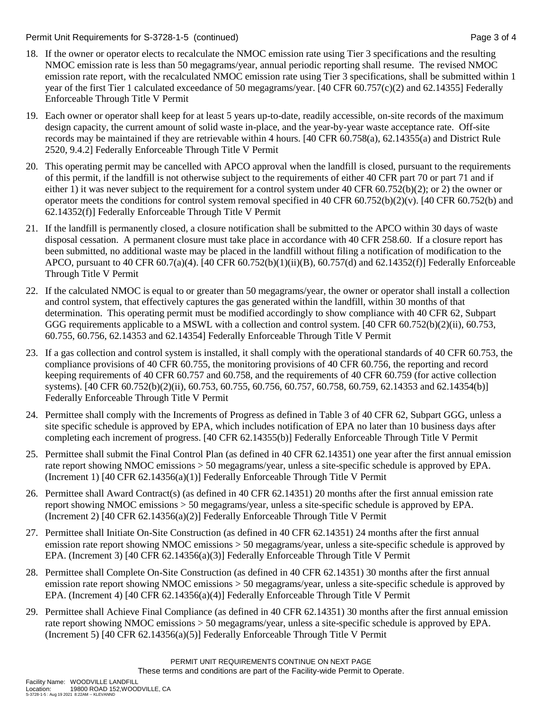Permit Unit Requirements for S-3728-1-5 (continued) Page 3 of 4

- 18. If the owner or operator elects to recalculate the NMOC emission rate using Tier 3 specifications and the resulting NMOC emission rate is less than 50 megagrams/year, annual periodic reporting shall resume. The revised NMOC emission rate report, with the recalculated NMOC emission rate using Tier 3 specifications, shall be submitted within 1 year of the first Tier 1 calculated exceedance of 50 megagrams/year. [40 CFR 60.757(c)(2) and 62.14355] Federally Enforceable Through Title V Permit
- 19. Each owner or operator shall keep for at least 5 years up-to-date, readily accessible, on-site records of the maximum design capacity, the current amount of solid waste in-place, and the year-by-year waste acceptance rate. Off-site records may be maintained if they are retrievable within 4 hours. [40 CFR 60.758(a), 62.14355(a) and District Rule 2520, 9.4.2] Federally Enforceable Through Title V Permit
- 20. This operating permit may be cancelled with APCO approval when the landfill is closed, pursuant to the requirements of this permit, if the landfill is not otherwise subject to the requirements of either 40 CFR part 70 or part 71 and if either 1) it was never subject to the requirement for a control system under 40 CFR 60.752(b)(2); or 2) the owner or operator meets the conditions for control system removal specified in 40 CFR  $60.752(b)(2)(v)$ . [40 CFR  $60.752(b)$  and 62.14352(f)] Federally Enforceable Through Title V Permit
- 21. If the landfill is permanently closed, a closure notification shall be submitted to the APCO within 30 days of waste disposal cessation. A permanent closure must take place in accordance with 40 CFR 258.60. If a closure report has been submitted, no additional waste may be placed in the landfill without filing a notification of modification to the APCO, pursuant to 40 CFR 60.7(a)(4). [40 CFR 60.752(b)(1)(ii)(B), 60.757(d) and 62.14352(f)] Federally Enforceable Through Title V Permit
- 22. If the calculated NMOC is equal to or greater than 50 megagrams/year, the owner or operator shall install a collection and control system, that effectively captures the gas generated within the landfill, within 30 months of that determination. This operating permit must be modified accordingly to show compliance with 40 CFR 62, Subpart GGG requirements applicable to a MSWL with a collection and control system. [40 CFR 60.752(b)(2)(ii), 60.753, 60.755, 60.756, 62.14353 and 62.14354] Federally Enforceable Through Title V Permit
- 23. If a gas collection and control system is installed, it shall comply with the operational standards of 40 CFR 60.753, the compliance provisions of 40 CFR 60.755, the monitoring provisions of 40 CFR 60.756, the reporting and record keeping requirements of 40 CFR 60.757 and 60.758, and the requirements of 40 CFR 60.759 (for active collection systems). [40 CFR 60.752(b)(2)(ii), 60.753, 60.755, 60.756, 60.757, 60.758, 60.759, 62.14353 and 62.14354(b)] Federally Enforceable Through Title V Permit
- 24. Permittee shall comply with the Increments of Progress as defined in Table 3 of 40 CFR 62, Subpart GGG, unless a site specific schedule is approved by EPA, which includes notification of EPA no later than 10 business days after completing each increment of progress. [40 CFR 62.14355(b)] Federally Enforceable Through Title V Permit
- 25. Permittee shall submit the Final Control Plan (as defined in 40 CFR 62.14351) one year after the first annual emission rate report showing NMOC emissions > 50 megagrams/year, unless a site-specific schedule is approved by EPA. (Increment 1) [40 CFR  $62.14356(a)(1)$ ] Federally Enforceable Through Title V Permit
- 26. Permittee shall Award Contract(s) (as defined in 40 CFR 62.14351) 20 months after the first annual emission rate report showing NMOC emissions > 50 megagrams/year, unless a site-specific schedule is approved by EPA. (Increment 2) [40 CFR  $62.14356(a)(2)$ ] Federally Enforceable Through Title V Permit
- 27. Permittee shall Initiate On-Site Construction (as defined in 40 CFR 62.14351) 24 months after the first annual emission rate report showing NMOC emissions > 50 megagrams/year, unless a site-specific schedule is approved by EPA. (Increment 3) [40 CFR 62.14356(a)(3)] Federally Enforceable Through Title V Permit
- 28. Permittee shall Complete On-Site Construction (as defined in 40 CFR 62.14351) 30 months after the first annual emission rate report showing NMOC emissions > 50 megagrams/year, unless a site-specific schedule is approved by EPA. (Increment 4) [40 CFR 62.14356(a)(4)] Federally Enforceable Through Title V Permit
- 29. Permittee shall Achieve Final Compliance (as defined in 40 CFR 62.14351) 30 months after the first annual emission rate report showing NMOC emissions > 50 megagrams/year, unless a site-specific schedule is approved by EPA. (Increment 5) [40 CFR 62.14356(a)(5)] Federally Enforceable Through Title V Permit